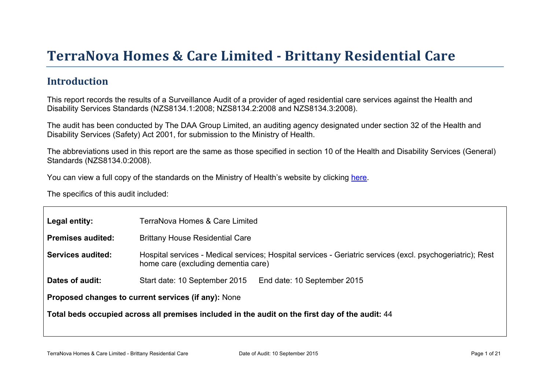# Terr aNova Homes & Car e Limited - Brittany Residential Car e

## Introduction

This report records the results of a Surveillance Audit of a provider of aged residential care services against the Health and Disability Services Standards (NZS8134.1:2008; NZS8134.2:2008 and NZS8134.3:2008).

The audit has been conducted by The DAA Group Limited, an auditing agency designated under section 32 of the Health and Disability Services (Safety) Act 2001, for submission to the Ministry of Health.

The abbreviations used in this report are the same as those specified in section 10 of the Health and Disability Services (General) Standards (NZS8134.0:2008).

You can view a full copy of the standards on the Ministry of Health's website by clicking [here.](http://www.health.govt.nz/our-work/regulation-health-and-disability-system/certification-health-care-services/health-and-disability-services-standards)

The specifics of this audit included:

| Legal entity:                                                                                      | TerraNova Homes & Care Limited                                                                                                                    |  |  |
|----------------------------------------------------------------------------------------------------|---------------------------------------------------------------------------------------------------------------------------------------------------|--|--|
| Premises audited:                                                                                  | <b>Brittany House Residential Care</b>                                                                                                            |  |  |
| Services audited:                                                                                  | Hospital services - Medical services; Hospital services - Geriatric services (excl. psychogeriatric); Rest<br>home care (excluding dementia care) |  |  |
| Dates of audit:                                                                                    | Start date: 10 September 2015<br>End date: 10 September 2015                                                                                      |  |  |
|                                                                                                    | Proposed changes to current services (if any): None                                                                                               |  |  |
| Total beds occupied across all premises included<br>in the audit on the first day of the audit: 44 |                                                                                                                                                   |  |  |
|                                                                                                    |                                                                                                                                                   |  |  |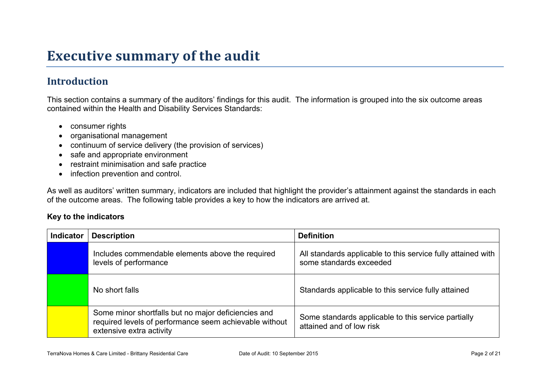## **Executive summary of the audit**

## **Introduction**

This section contains a summary of the auditors' findings for this audit. The information is grouped into the six outcome areas contained within the Health and Disability Services Standards:

- consumer rights
- organisational management
- continuum of service delivery (the provision of services)
- safe and appropriate environment
- restraint minimisation and safe practice
- infection prevention and control.

As well as auditors' written summary, indicators are included that highlight the provider's attainment against the standards in each of the outcome areas. The following table provides a key to how the indicators are arrived at.

#### **Key to the indicators**

| <b>Indicator</b> | <b>Description</b>                                                                                                                        | <b>Definition</b>                                                                       |
|------------------|-------------------------------------------------------------------------------------------------------------------------------------------|-----------------------------------------------------------------------------------------|
|                  | Includes commendable elements above the required<br>levels of performance                                                                 | All standards applicable to this service fully attained with<br>some standards exceeded |
|                  | No short falls                                                                                                                            | Standards applicable to this service fully attained                                     |
|                  | Some minor shortfalls but no major deficiencies and<br>required levels of performance seem achievable without<br>extensive extra activity | Some standards applicable to this service partially<br>attained and of low risk         |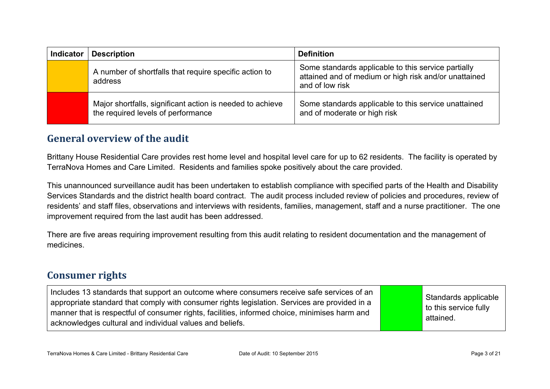| <b>Indicator</b> | <b>Description</b>                                                                              | <b>Definition</b>                                                                                                               |
|------------------|-------------------------------------------------------------------------------------------------|---------------------------------------------------------------------------------------------------------------------------------|
|                  | A number of shortfalls that require specific action to<br>address                               | Some standards applicable to this service partially<br>attained and of medium or high risk and/or unattained<br>and of low risk |
|                  | Major shortfalls, significant action is needed to achieve<br>the required levels of performance | Some standards applicable to this service unattained<br>and of moderate or high risk                                            |

### **General overview of the audit**

Brittany House Residential Care provides rest home level and hospital level care for up to 62 residents. The facility is operated by TerraNova Homes and Care Limited. Residents and families spoke positively about the care provided.

This unannounced surveillance audit has been undertaken to establish compliance with specified parts of the Health and Disability Services Standards and the district health board contract. The audit process included review of policies and procedures, review of residents' and staff files, observations and interviews with residents, families, management, staff and a nurse practitioner. The one improvement required from the last audit has been addressed.

There are five areas requiring improvement resulting from this audit relating to resident documentation and the management of medicines.

### **Consumer rights**

Includes 13 standards that support an outcome where consumers receive safe services of an appropriate standard that comply with consumer rights legislation. Services are provided in a manner that is respectful of consumer rights, facilities, informed choice, minimises harm and acknowledges cultural and individual values and beliefs. Standards applicable to this service fully attained.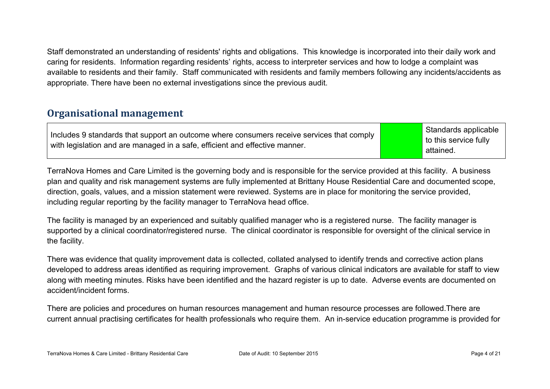Staff demonstrated an understanding of residents' rights and obligations. This knowledge is incorporated into their daily work and caring for residents. Information regarding residents' rights, access to interpreter services and how to lodge a complaint was available to residents and their family. Staff communicated with residents and family members following any incidents/accidents as appropriate. There have been no external investigations since the previous audit.

## **Organisational management**

Includes 9 standards that support an outcome where consumers receive services that comply with legislation and are managed in a safe, efficient and effective manner.

Standards applicable to this service fully attained.

TerraNova Homes and Care Limited is the governing body and is responsible for the service provided at this facility. A business plan and quality and risk management systems are fully implemented at Brittany House Residential Care and documented scope, direction, goals, values, and a mission statement were reviewed. Systems are in place for monitoring the service provided, including regular reporting by the facility manager to TerraNova head office.

The facility is managed by an experienced and suitably qualified manager who is a registered nurse. The facility manager is supported by a clinical coordinator/registered nurse. The clinical coordinator is responsible for oversight of the clinical service in the facility.

There was evidence that quality improvement data is collected, collated analysed to identify trends and corrective action plans developed to address areas identified as requiring improvement. Graphs of various clinical indicators are available for staff to view along with meeting minutes. Risks have been identified and the hazard register is up to date. Adverse events are documented on accident/incident forms.

There are policies and procedures on human resources management and human resource processes are followed.There are current annual practising certificates for health professionals who require them. An in-service education programme is provided for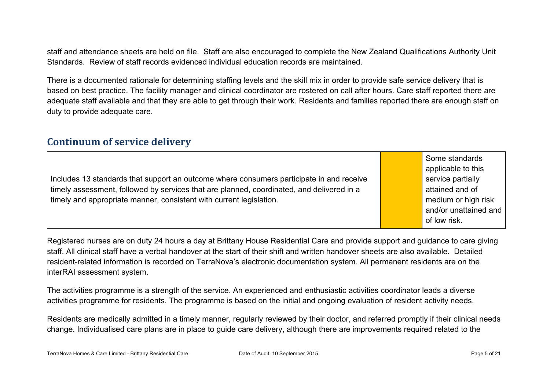staff and attendance sheets are held on file. Staff are also encouraged to complete the New Zealand Qualifications Authority Unit Standards. Review of staff records evidenced individual education records are maintained.

There is a documented rationale for determining staffing levels and the skill mix in order to provide safe service delivery that is based on best practice. The facility manager and clinical coordinator are rostered on call after hours. Care staff reported there are adequate staff available and that they are able to get through their work. Residents and families reported there are enough staff on duty to provide adequate care.

### **Continuum of service delivery**

Includes 13 standards that support an outcome where consumers participate in and receive timely assessment, followed by services that are planned, coordinated, and delivered in a timely and appropriate manner, consistent with current legislation.

Some standards applicable to this service partially attained and of medium or high risk and/or unattained and of low risk.

Registered nurses are on duty 24 hours a day at Brittany House Residential Care and provide support and guidance to care giving staff. All clinical staff have a verbal handover at the start of their shift and written handover sheets are also available. Detailed resident-related information is recorded on TerraNova's electronic documentation system. All permanent residents are on the interRAI assessment system.

The activities programme is a strength of the service. An experienced and enthusiastic activities coordinator leads a diverse activities programme for residents. The programme is based on the initial and ongoing evaluation of resident activity needs.

Residents are medically admitted in a timely manner, regularly reviewed by their doctor, and referred promptly if their clinical needs change. Individualised care plans are in place to guide care delivery, although there are improvements required related to the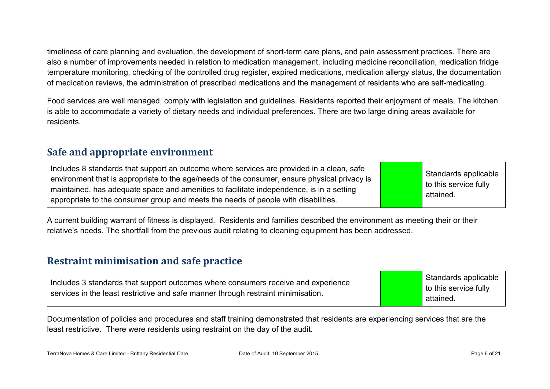timeliness of care planning and evaluation, the development of short-term care plans, and pain assessment practices. There are also a number of improvements needed in relation to medication management, including medicine reconciliation, medication fridge temperature monitoring, checking of the controlled drug register, expired medications, medication allergy status, the documentation of medication reviews, the administration of prescribed medications and the management of residents who are self-medicating.

Food services are well managed, comply with legislation and guidelines. Residents reported their enjoyment of meals. The kitchen is able to accommodate a variety of dietary needs and individual preferences. There are two large dining areas available for residents.

## **Safe and appropriate environment**

| Includes 8 standards that support an outcome where services are provided in a clean, safe<br>environment that is appropriate to the age/needs of the consumer, ensure physical privacy is<br>maintained, has adequate space and amenities to facilitate independence, is in a setting<br>appropriate to the consumer group and meets the needs of people with disabilities. |  | Standards applicable<br>to this service fully<br>attained. |
|-----------------------------------------------------------------------------------------------------------------------------------------------------------------------------------------------------------------------------------------------------------------------------------------------------------------------------------------------------------------------------|--|------------------------------------------------------------|
|-----------------------------------------------------------------------------------------------------------------------------------------------------------------------------------------------------------------------------------------------------------------------------------------------------------------------------------------------------------------------------|--|------------------------------------------------------------|

A current building warrant of fitness is displayed. Residents and families described the environment as meeting their or their relative's needs. The shortfall from the previous audit relating to cleaning equipment has been addressed.

## **Restraint minimisation and safe practice**

| Includes 3 standards that support outcomes where consumers receive and experience<br>services in the least restrictive and safe manner through restraint minimisation. | Standards applicable<br>to this service fully<br>attained. |
|------------------------------------------------------------------------------------------------------------------------------------------------------------------------|------------------------------------------------------------|
|------------------------------------------------------------------------------------------------------------------------------------------------------------------------|------------------------------------------------------------|

Documentation of policies and procedures and staff training demonstrated that residents are experiencing services that are the least restrictive. There were residents using restraint on the day of the audit.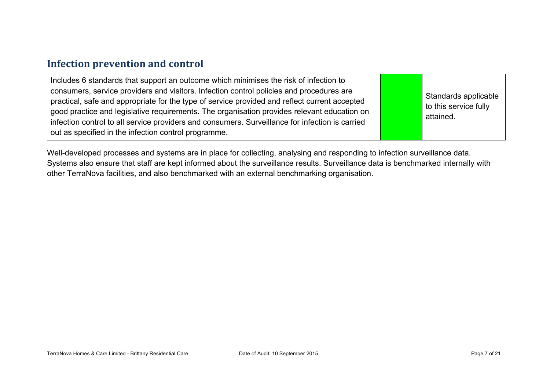### **Infection prevention and control**

Well-developed processes and systems are in place for collecting, analysing and responding to infection surveillance data. Systems also ensure that staff are kept informed about the surveillance results. Surveillance data is benchmarked internally with other TerraNova facilities, and also benchmarked with an external benchmarking organisation.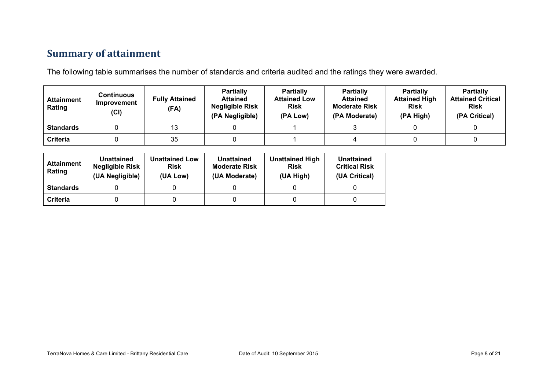## **Summary of attainment**

The following table summarises the number of standards and criteria audited and the ratings they were awarded.

| <b>Attainment</b><br>Rating | Continuous<br>Improvement<br>(CI) | <b>Fully Attained</b><br>(FA) | <b>Partially</b><br><b>Attained</b><br><b>Negligible Risk</b><br>(PA Negligible) | <b>Partially</b><br><b>Attained Low</b><br><b>Risk</b><br>(PA Low) | <b>Partially</b><br><b>Attained</b><br><b>Moderate Risk</b><br>(PA Moderate) | <b>Partially</b><br><b>Attained High</b><br><b>Risk</b><br>(PA High) | <b>Partially</b><br><b>Attained Critical</b><br><b>Risk</b><br>(PA Critical) |
|-----------------------------|-----------------------------------|-------------------------------|----------------------------------------------------------------------------------|--------------------------------------------------------------------|------------------------------------------------------------------------------|----------------------------------------------------------------------|------------------------------------------------------------------------------|
| <b>Standards</b>            |                                   | 13                            |                                                                                  |                                                                    |                                                                              |                                                                      |                                                                              |
| <b>Criteria</b>             |                                   | 35                            |                                                                                  |                                                                    |                                                                              |                                                                      |                                                                              |

| <b>Attainment</b><br>Rating | Unattained<br><b>Negligible Risk</b><br>(UA Negligible) | <b>Unattained Low</b><br><b>Risk</b><br>(UA Low) | Unattained<br><b>Moderate Risk</b><br>(UA Moderate) | <b>Unattained High</b><br><b>Risk</b><br>(UA High) | Unattained<br><b>Critical Risk</b><br>(UA Critical) |
|-----------------------------|---------------------------------------------------------|--------------------------------------------------|-----------------------------------------------------|----------------------------------------------------|-----------------------------------------------------|
| <b>Standards</b>            |                                                         |                                                  |                                                     |                                                    |                                                     |
| Criteria                    |                                                         |                                                  |                                                     |                                                    |                                                     |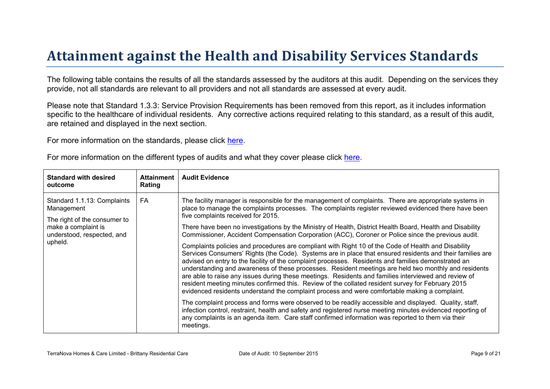# Attainment against the Health and Disability Ser vices Standar ds

The following table contains the results of all the standards assessed by the auditors at this audit. Depending on the services they provide, not all standards are relevant to all providers and not all standards are assessed at every audit.

Please note that Standard 1.3.3: Service Provision Requirements has been removed from this report, as it includes information specific to the healthcare of individual residents. Any corrective actions required relating to this standard, as a result of this audit, are retained and displayed in the next section.

For more information on the standards, please click [here](http://www.health.govt.nz/our-work/regulation-health-and-disability-system/certification-health-care-services/health-and-disability-services-standards).

| For more information on the different types of audits and what they cover please click here. |  |  |
|----------------------------------------------------------------------------------------------|--|--|
|----------------------------------------------------------------------------------------------|--|--|

| The facility manager is responsible for the management of complaints. There are appropriate systems in<br>FA<br>Standard 1.1.13: Complaints<br>place to manage the complaints processes. The complaints register reviewed evidenced there have been<br>Management<br>five complaints received for 2015.<br>The right of the consumer to<br>make a complaint is<br>There have been no investigations by the Ministry of Health, District Health Board, Health and Disability<br>Commissioner, Accident Compensation Corporation (ACC), Coroner or Police since the previous audit.<br>understood, respected, and<br>upheld.<br>Complaints policies and procedures are compliant with Right 10 of the Code of Health and Disability                                                                                                                                                                                                                                                | Standard with desired<br>outcome |
|----------------------------------------------------------------------------------------------------------------------------------------------------------------------------------------------------------------------------------------------------------------------------------------------------------------------------------------------------------------------------------------------------------------------------------------------------------------------------------------------------------------------------------------------------------------------------------------------------------------------------------------------------------------------------------------------------------------------------------------------------------------------------------------------------------------------------------------------------------------------------------------------------------------------------------------------------------------------------------|----------------------------------|
| Services Consumers' Rights (the Code). Systems are in place that ensured residents and their families are<br>advised on entry to the facility of the complaint processes. Residents and families demonstrated an<br>understanding and awareness of these processes. Resident meetings are held two monthly and residents<br>are able to raise any issues during these meetings. Residents and families interviewed and review of<br>resident meeting minutes confirmed this. Review of the collated resident survey for February 2015<br>evidenced residents understand the complaint process and were comfortable making a complaint.<br>The complaint process and forms were observed to be readily accessible and displayed. Quality, staff,<br>infection control, restraint, health and safety and registered nurse meeting minutes evidenced reporting of<br>any complaints is an agenda item. Care staff confirmed information was reported to them via their<br>meetings. |                                  |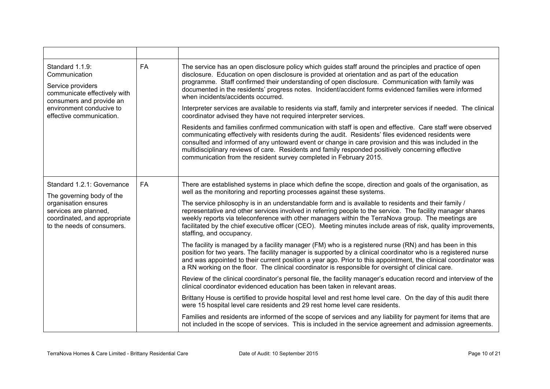| Standard 1.1.9:<br>Communication<br>Service providers<br>communicate effectively with<br>consumers and provide an<br>environment conducive to<br>effective communication. | <b>FA</b> | The service has an open disclosure policy which guides staff around the principles and practice of open<br>disclosure. Education on open disclosure is provided at orientation and as part of the education<br>programme. Staff confirmed their understanding of open disclosure. Communication with family was<br>documented in the residents' progress notes. Incident/accident forms evidenced families were informed<br>when incidents/accidents occurred.<br>Interpreter services are available to residents via staff, family and interpreter services if needed. The clinical<br>coordinator advised they have not required interpreter services.<br>Residents and families confirmed communication with staff is open and effective. Care staff were observed<br>communicating effectively with residents during the audit. Residents' files evidenced residents were<br>consulted and informed of any untoward event or change in care provision and this was included in the<br>multidisciplinary reviews of care. Residents and family responded positively concerning effective<br>communication from the resident survey completed in February 2015.                                                                                                                                                                                                                                                                                                                                                                                                                                                                                                                                                                                    |
|---------------------------------------------------------------------------------------------------------------------------------------------------------------------------|-----------|------------------------------------------------------------------------------------------------------------------------------------------------------------------------------------------------------------------------------------------------------------------------------------------------------------------------------------------------------------------------------------------------------------------------------------------------------------------------------------------------------------------------------------------------------------------------------------------------------------------------------------------------------------------------------------------------------------------------------------------------------------------------------------------------------------------------------------------------------------------------------------------------------------------------------------------------------------------------------------------------------------------------------------------------------------------------------------------------------------------------------------------------------------------------------------------------------------------------------------------------------------------------------------------------------------------------------------------------------------------------------------------------------------------------------------------------------------------------------------------------------------------------------------------------------------------------------------------------------------------------------------------------------------------------------------------------------------------------------------------------------|
| Standard 1.2.1: Governance<br>The governing body of the<br>organisation ensures<br>services are planned,<br>coordinated, and appropriate<br>to the needs of consumers.    | <b>FA</b> | There are established systems in place which define the scope, direction and goals of the organisation, as<br>well as the monitoring and reporting processes against these systems.<br>The service philosophy is in an understandable form and is available to residents and their family /<br>representative and other services involved in referring people to the service. The facility manager shares<br>weekly reports via teleconference with other managers within the TerraNova group. The meetings are<br>facilitated by the chief executive officer (CEO). Meeting minutes include areas of risk, quality improvements,<br>staffing, and occupancy.<br>The facility is managed by a facility manager (FM) who is a registered nurse (RN) and has been in this<br>position for two years. The facility manager is supported by a clinical coordinator who is a registered nurse<br>and was appointed to their current position a year ago. Prior to this appointment, the clinical coordinator was<br>a RN working on the floor. The clinical coordinator is responsible for oversight of clinical care.<br>Review of the clinical coordinator's personal file, the facility manager's education record and interview of the<br>clinical coordinator evidenced education has been taken in relevant areas.<br>Brittany House is certified to provide hospital level and rest home level care. On the day of this audit there<br>were 15 hospital level care residents and 29 rest home level care residents.<br>Families and residents are informed of the scope of services and any liability for payment for items that are<br>not included in the scope of services. This is included in the service agreement and admission agreements. |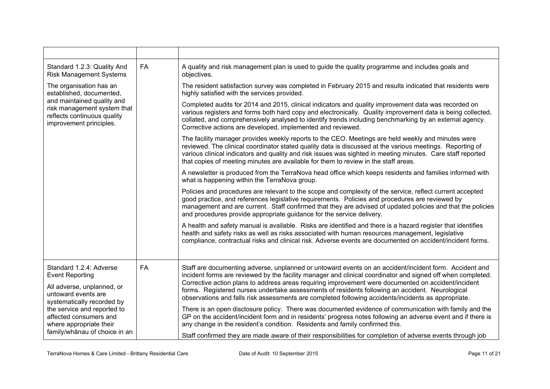| <b>FA</b><br>A quality and risk management plan is used to guide the quality programme and includes goals and<br>Standard 1.2.3: Quality And<br><b>Risk Management Systems</b><br>objectives.<br>The resident satisfaction survey was completed in February 2015 and results indicated that residents were<br>The organisation has an<br>established, documented,<br>highly satisfied with the services provided.<br>and maintained quality and<br>Completed audits for 2014 and 2015, clinical indicators and quality improvement data was recorded on<br>risk management system that<br>reflects continuous quality<br>collated, and comprehensively analysed to identify trends including benchmarking by an external agency.<br>improvement principles.<br>Corrective actions are developed, implemented and reviewed.<br>The facility manager provides weekly reports to the CEO. Meetings are held weekly and minutes were<br>reviewed. The clinical coordinator stated quality data is discussed at the various meetings. Reporting of<br>various clinical indicators and quality and risk issues was sighted in meeting minutes. Care staff reported<br>that copies of meeting minutes are available for them to review in the staff areas.<br>A newsletter is produced from the TerraNova head office which keeps residents and families informed with<br>what is happening within the TerraNova group.<br>Policies and procedures are relevant to the scope and complexity of the service, reflect current accepted<br>good practice, and references legislative requirements. Policies and procedures are reviewed by<br>and procedures provide appropriate guidance for the service delivery.<br>A health and safety manual is available. Risks are identified and there is a hazard register that identifies<br>health and safety risks as well as risks associated with human resources management, legislative<br>compliance, contractual risks and clinical risk. Adverse events are documented on accident/incident forms.<br>Standard 1.2.4: Adverse<br>FA<br>Staff are documenting adverse, unplanned or untoward events on an accident/incident form. Accident and<br><b>Event Reporting</b><br>Corrective action plans to address areas requiring improvement were documented on accident/incident<br>All adverse, unplanned, or<br>forms. Registered nurses undertake assessments of residents following an accident. Neurological<br>untoward events are<br>observations and falls risk assessments are completed following accidents/incidents as appropriate.<br>systematically recorded by |  |                                                                                                                                                                                                                        |
|----------------------------------------------------------------------------------------------------------------------------------------------------------------------------------------------------------------------------------------------------------------------------------------------------------------------------------------------------------------------------------------------------------------------------------------------------------------------------------------------------------------------------------------------------------------------------------------------------------------------------------------------------------------------------------------------------------------------------------------------------------------------------------------------------------------------------------------------------------------------------------------------------------------------------------------------------------------------------------------------------------------------------------------------------------------------------------------------------------------------------------------------------------------------------------------------------------------------------------------------------------------------------------------------------------------------------------------------------------------------------------------------------------------------------------------------------------------------------------------------------------------------------------------------------------------------------------------------------------------------------------------------------------------------------------------------------------------------------------------------------------------------------------------------------------------------------------------------------------------------------------------------------------------------------------------------------------------------------------------------------------------------------------------------------------------------------------------------------------------------------------------------------------------------------------------------------------------------------------------------------------------------------------------------------------------------------------------------------------------------------------------------------------------------------------------------------------------------------------------------------------------------------------------------------------------------------------------------------------------------|--|------------------------------------------------------------------------------------------------------------------------------------------------------------------------------------------------------------------------|
|                                                                                                                                                                                                                                                                                                                                                                                                                                                                                                                                                                                                                                                                                                                                                                                                                                                                                                                                                                                                                                                                                                                                                                                                                                                                                                                                                                                                                                                                                                                                                                                                                                                                                                                                                                                                                                                                                                                                                                                                                                                                                                                                                                                                                                                                                                                                                                                                                                                                                                                                                                                                                      |  |                                                                                                                                                                                                                        |
|                                                                                                                                                                                                                                                                                                                                                                                                                                                                                                                                                                                                                                                                                                                                                                                                                                                                                                                                                                                                                                                                                                                                                                                                                                                                                                                                                                                                                                                                                                                                                                                                                                                                                                                                                                                                                                                                                                                                                                                                                                                                                                                                                                                                                                                                                                                                                                                                                                                                                                                                                                                                                      |  |                                                                                                                                                                                                                        |
|                                                                                                                                                                                                                                                                                                                                                                                                                                                                                                                                                                                                                                                                                                                                                                                                                                                                                                                                                                                                                                                                                                                                                                                                                                                                                                                                                                                                                                                                                                                                                                                                                                                                                                                                                                                                                                                                                                                                                                                                                                                                                                                                                                                                                                                                                                                                                                                                                                                                                                                                                                                                                      |  | various registers and forms both hard copy and electronically. Quality improvement data is being collected,                                                                                                            |
|                                                                                                                                                                                                                                                                                                                                                                                                                                                                                                                                                                                                                                                                                                                                                                                                                                                                                                                                                                                                                                                                                                                                                                                                                                                                                                                                                                                                                                                                                                                                                                                                                                                                                                                                                                                                                                                                                                                                                                                                                                                                                                                                                                                                                                                                                                                                                                                                                                                                                                                                                                                                                      |  |                                                                                                                                                                                                                        |
|                                                                                                                                                                                                                                                                                                                                                                                                                                                                                                                                                                                                                                                                                                                                                                                                                                                                                                                                                                                                                                                                                                                                                                                                                                                                                                                                                                                                                                                                                                                                                                                                                                                                                                                                                                                                                                                                                                                                                                                                                                                                                                                                                                                                                                                                                                                                                                                                                                                                                                                                                                                                                      |  |                                                                                                                                                                                                                        |
|                                                                                                                                                                                                                                                                                                                                                                                                                                                                                                                                                                                                                                                                                                                                                                                                                                                                                                                                                                                                                                                                                                                                                                                                                                                                                                                                                                                                                                                                                                                                                                                                                                                                                                                                                                                                                                                                                                                                                                                                                                                                                                                                                                                                                                                                                                                                                                                                                                                                                                                                                                                                                      |  | management and are current. Staff confirmed that they are advised of updated policies and that the policies                                                                                                            |
|                                                                                                                                                                                                                                                                                                                                                                                                                                                                                                                                                                                                                                                                                                                                                                                                                                                                                                                                                                                                                                                                                                                                                                                                                                                                                                                                                                                                                                                                                                                                                                                                                                                                                                                                                                                                                                                                                                                                                                                                                                                                                                                                                                                                                                                                                                                                                                                                                                                                                                                                                                                                                      |  |                                                                                                                                                                                                                        |
|                                                                                                                                                                                                                                                                                                                                                                                                                                                                                                                                                                                                                                                                                                                                                                                                                                                                                                                                                                                                                                                                                                                                                                                                                                                                                                                                                                                                                                                                                                                                                                                                                                                                                                                                                                                                                                                                                                                                                                                                                                                                                                                                                                                                                                                                                                                                                                                                                                                                                                                                                                                                                      |  | incident forms are reviewed by the facility manager and clinical coordinator and signed off when completed.                                                                                                            |
| the service and reported to<br>affected consumers and<br>any change in the resident's condition. Residents and family confirmed this.<br>where appropriate their<br>family/whānau of choice in an<br>Staff confirmed they are made aware of their responsibilities for completion of adverse events through job                                                                                                                                                                                                                                                                                                                                                                                                                                                                                                                                                                                                                                                                                                                                                                                                                                                                                                                                                                                                                                                                                                                                                                                                                                                                                                                                                                                                                                                                                                                                                                                                                                                                                                                                                                                                                                                                                                                                                                                                                                                                                                                                                                                                                                                                                                      |  | There is an open disclosure policy. There was documented evidence of communication with family and the<br>GP on the accident/incident form and in residents' progress notes following an adverse event and if there is |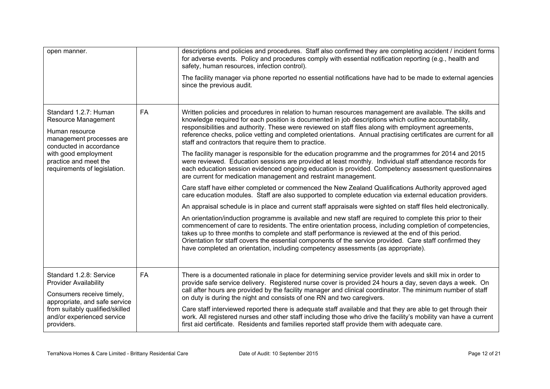| open manner.                                                                                                                                                                                           |           | descriptions and policies and procedures. Staff also confirmed they are completing accident / incident forms<br>for adverse events. Policy and procedures comply with essential notification reporting (e.g., health and<br>safety, human resources, infection control).<br>The facility manager via phone reported no essential notifications have had to be made to external agencies<br>since the previous audit.                                                                                                                                                                                                                                                                                                                                                                                                                                                                                                                                                                                                                                                                                                                                                                                                                                                                                                                                                                                                                                                                                                                                                                                                                                                                                                                                                     |
|--------------------------------------------------------------------------------------------------------------------------------------------------------------------------------------------------------|-----------|--------------------------------------------------------------------------------------------------------------------------------------------------------------------------------------------------------------------------------------------------------------------------------------------------------------------------------------------------------------------------------------------------------------------------------------------------------------------------------------------------------------------------------------------------------------------------------------------------------------------------------------------------------------------------------------------------------------------------------------------------------------------------------------------------------------------------------------------------------------------------------------------------------------------------------------------------------------------------------------------------------------------------------------------------------------------------------------------------------------------------------------------------------------------------------------------------------------------------------------------------------------------------------------------------------------------------------------------------------------------------------------------------------------------------------------------------------------------------------------------------------------------------------------------------------------------------------------------------------------------------------------------------------------------------------------------------------------------------------------------------------------------------|
| Standard 1.2.7: Human<br>Resource Management<br>Human resource<br>management processes are<br>conducted in accordance<br>with good employment<br>practice and meet the<br>requirements of legislation. | <b>FA</b> | Written policies and procedures in relation to human resources management are available. The skills and<br>knowledge required for each position is documented in job descriptions which outline accountability,<br>responsibilities and authority. These were reviewed on staff files along with employment agreements,<br>reference checks, police vetting and completed orientations. Annual practising certificates are current for all<br>staff and contractors that require them to practice.<br>The facility manager is responsible for the education programme and the programmes for 2014 and 2015<br>were reviewed. Education sessions are provided at least monthly. Individual staff attendance records for<br>each education session evidenced ongoing education is provided. Competency assessment questionnaires<br>are current for medication management and restraint management.<br>Care staff have either completed or commenced the New Zealand Qualifications Authority approved aged<br>care education modules. Staff are also supported to complete education via external education providers.<br>An appraisal schedule is in place and current staff appraisals were sighted on staff files held electronically.<br>An orientation/induction programme is available and new staff are required to complete this prior to their<br>commencement of care to residents. The entire orientation process, including completion of competencies,<br>takes up to three months to complete and staff performance is reviewed at the end of this period.<br>Orientation for staff covers the essential components of the service provided. Care staff confirmed they<br>have completed an orientation, including competency assessments (as appropriate). |
| Standard 1.2.8: Service<br><b>Provider Availability</b><br>Consumers receive timely,<br>appropriate, and safe service<br>from suitably qualified/skilled<br>and/or experienced service<br>providers.   | FA        | There is a documented rationale in place for determining service provider levels and skill mix in order to<br>provide safe service delivery. Registered nurse cover is provided 24 hours a day, seven days a week. On<br>call after hours are provided by the facility manager and clinical coordinator. The minimum number of staff<br>on duty is during the night and consists of one RN and two caregivers.<br>Care staff interviewed reported there is adequate staff available and that they are able to get through their<br>work. All registered nurses and other staff including those who drive the facility's mobility van have a current<br>first aid certificate. Residents and families reported staff provide them with adequate care.                                                                                                                                                                                                                                                                                                                                                                                                                                                                                                                                                                                                                                                                                                                                                                                                                                                                                                                                                                                                                     |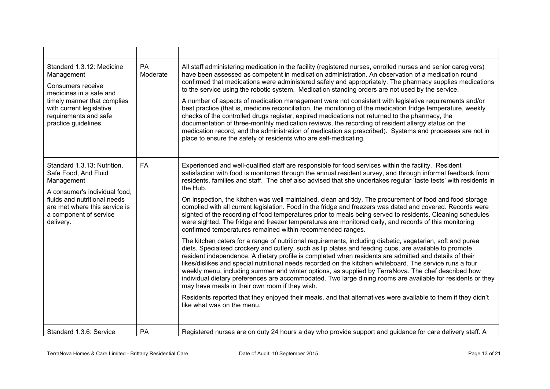| Standard 1.3.12: Medicine<br>Management<br>Consumers receive<br>medicines in a safe and<br>timely manner that complies<br>with current legislative<br>requirements and safe<br>practice guidelines.        | PA<br>Moderate | All staff administering medication in the facility (registered nurses, enrolled nurses and senior caregivers)<br>have been assessed as competent in medication administration. An observation of a medication round<br>confirmed that medications were administered safely and appropriately. The pharmacy supplies medications<br>to the service using the robotic system. Medication standing orders are not used by the service.<br>A number of aspects of medication management were not consistent with legislative requirements and/or<br>best practice (that is, medicine reconciliation, the monitoring of the medication fridge temperature, weekly<br>checks of the controlled drugs register, expired medications not returned to the pharmacy, the<br>documentation of three-monthly medication reviews, the recording of resident allergy status on the<br>medication record, and the administration of medication as prescribed). Systems and processes are not in<br>place to ensure the safety of residents who are self-medicating.                                                                                                                                                                                                                                                                                                                                                                                                                                                                                                                                                                                                                                                                                  |
|------------------------------------------------------------------------------------------------------------------------------------------------------------------------------------------------------------|----------------|---------------------------------------------------------------------------------------------------------------------------------------------------------------------------------------------------------------------------------------------------------------------------------------------------------------------------------------------------------------------------------------------------------------------------------------------------------------------------------------------------------------------------------------------------------------------------------------------------------------------------------------------------------------------------------------------------------------------------------------------------------------------------------------------------------------------------------------------------------------------------------------------------------------------------------------------------------------------------------------------------------------------------------------------------------------------------------------------------------------------------------------------------------------------------------------------------------------------------------------------------------------------------------------------------------------------------------------------------------------------------------------------------------------------------------------------------------------------------------------------------------------------------------------------------------------------------------------------------------------------------------------------------------------------------------------------------------------------------------------|
| Standard 1.3.13: Nutrition,<br>Safe Food, And Fluid<br>Management<br>A consumer's individual food,<br>fluids and nutritional needs<br>are met where this service is<br>a component of service<br>delivery. | FA             | Experienced and well-qualified staff are responsible for food services within the facility. Resident<br>satisfaction with food is monitored through the annual resident survey, and through informal feedback from<br>residents, families and staff. The chef also advised that she undertakes regular 'taste tests' with residents in<br>the Hub.<br>On inspection, the kitchen was well maintained, clean and tidy. The procurement of food and food storage<br>complied with all current legislation. Food in the fridge and freezers was dated and covered. Records were<br>sighted of the recording of food temperatures prior to meals being served to residents. Cleaning schedules<br>were sighted. The fridge and freezer temperatures are monitored daily, and records of this monitoring<br>confirmed temperatures remained within recommended ranges.<br>The kitchen caters for a range of nutritional requirements, including diabetic, vegetarian, soft and puree<br>diets. Specialised crockery and cutlery, such as lip plates and feeding cups, are available to promote<br>resident independence. A dietary profile is completed when residents are admitted and details of their<br>likes/dislikes and special nutritional needs recorded on the kitchen whiteboard. The service runs a four<br>weekly menu, including summer and winter options, as supplied by TerraNova. The chef described how<br>individual dietary preferences are accommodated. Two large dining rooms are available for residents or they<br>may have meals in their own room if they wish.<br>Residents reported that they enjoyed their meals, and that alternatives were available to them if they didn't<br>like what was on the menu. |
| Standard 1.3.6: Service                                                                                                                                                                                    | PA             | Registered nurses are on duty 24 hours a day who provide support and guidance for care delivery staff. A                                                                                                                                                                                                                                                                                                                                                                                                                                                                                                                                                                                                                                                                                                                                                                                                                                                                                                                                                                                                                                                                                                                                                                                                                                                                                                                                                                                                                                                                                                                                                                                                                              |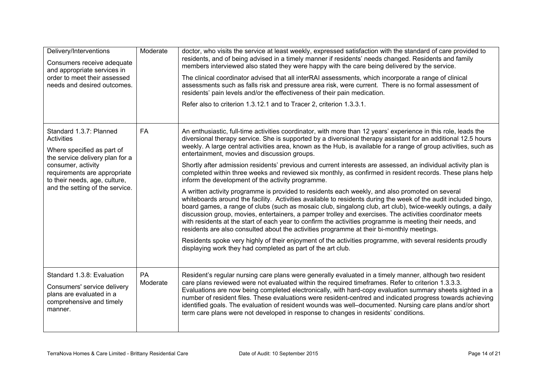| Delivery/Interventions<br>Consumers receive adequate<br>and appropriate services in<br>order to meet their assessed<br>needs and desired outcomes.                                                                                      | Moderate       | doctor, who visits the service at least weekly, expressed satisfaction with the standard of care provided to<br>residents, and of being advised in a timely manner if residents' needs changed. Residents and family<br>members interviewed also stated they were happy with the care being delivered by the service.<br>The clinical coordinator advised that all interRAI assessments, which incorporate a range of clinical<br>assessments such as falls risk and pressure area risk, were current. There is no formal assessment of<br>residents' pain levels and/or the effectiveness of their pain medication.<br>Refer also to criterion 1.3.12.1 and to Tracer 2, criterion 1.3.3.1.                                                                                                                                                                                                                                                                                                                                                                                                                                                                                                                                                                                                                                                                                                                                                                                                                                    |
|-----------------------------------------------------------------------------------------------------------------------------------------------------------------------------------------------------------------------------------------|----------------|---------------------------------------------------------------------------------------------------------------------------------------------------------------------------------------------------------------------------------------------------------------------------------------------------------------------------------------------------------------------------------------------------------------------------------------------------------------------------------------------------------------------------------------------------------------------------------------------------------------------------------------------------------------------------------------------------------------------------------------------------------------------------------------------------------------------------------------------------------------------------------------------------------------------------------------------------------------------------------------------------------------------------------------------------------------------------------------------------------------------------------------------------------------------------------------------------------------------------------------------------------------------------------------------------------------------------------------------------------------------------------------------------------------------------------------------------------------------------------------------------------------------------------|
| Standard 1.3.7: Planned<br><b>Activities</b><br>Where specified as part of<br>the service delivery plan for a<br>consumer, activity<br>requirements are appropriate<br>to their needs, age, culture,<br>and the setting of the service. | <b>FA</b>      | An enthusiastic, full-time activities coordinator, with more than 12 years' experience in this role, leads the<br>diversional therapy service. She is supported by a diversional therapy assistant for an additional 12.5 hours<br>weekly. A large central activities area, known as the Hub, is available for a range of group activities, such as<br>entertainment, movies and discussion groups.<br>Shortly after admission residents' previous and current interests are assessed, an individual activity plan is<br>completed within three weeks and reviewed six monthly, as confirmed in resident records. These plans help<br>inform the development of the activity programme.<br>A written activity programme is provided to residents each weekly, and also promoted on several<br>whiteboards around the facility. Activities available to residents during the week of the audit included bingo,<br>board games, a range of clubs (such as mosaic club, singalong club, art club), twice-weekly outings, a daily<br>discussion group, movies, entertainers, a pamper trolley and exercises. The activities coordinator meets<br>with residents at the start of each year to confirm the activities programme is meeting their needs, and<br>residents are also consulted about the activities programme at their bi-monthly meetings.<br>Residents spoke very highly of their enjoyment of the activities programme, with several residents proudly<br>displaying work they had completed as part of the art club. |
| Standard 1.3.8: Evaluation<br>Consumers' service delivery<br>plans are evaluated in a<br>comprehensive and timely<br>manner.                                                                                                            | PA<br>Moderate | Resident's regular nursing care plans were generally evaluated in a timely manner, although two resident<br>care plans reviewed were not evaluated within the required timeframes. Refer to criterion 1.3.3.3.<br>Evaluations are now being completed electronically, with hard-copy evaluation summary sheets sighted in a<br>number of resident files. These evaluations were resident-centred and indicated progress towards achieving<br>identified goals. The evaluation of resident wounds was well-documented. Nursing care plans and/or short<br>term care plans were not developed in response to changes in residents' conditions.                                                                                                                                                                                                                                                                                                                                                                                                                                                                                                                                                                                                                                                                                                                                                                                                                                                                                    |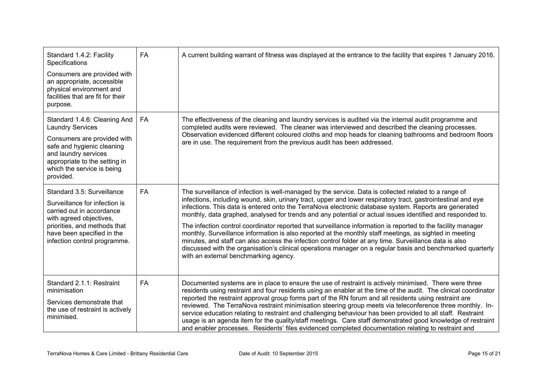| Standard 1.4.2: Facility<br>Specifications<br>Consumers are provided with<br>an appropriate, accessible<br>physical environment and<br>facilities that are fit for their<br>purpose.                                     | <b>FA</b> | A current building warrant of fitness was displayed at the entrance to the facility that expires 1 January 2016.                                                                                                                                                                                                                                                                                                                                                                                                                                                                                                                                                                                                                                                                                                                                                                                                                          |
|--------------------------------------------------------------------------------------------------------------------------------------------------------------------------------------------------------------------------|-----------|-------------------------------------------------------------------------------------------------------------------------------------------------------------------------------------------------------------------------------------------------------------------------------------------------------------------------------------------------------------------------------------------------------------------------------------------------------------------------------------------------------------------------------------------------------------------------------------------------------------------------------------------------------------------------------------------------------------------------------------------------------------------------------------------------------------------------------------------------------------------------------------------------------------------------------------------|
| Standard 1.4.6: Cleaning And<br><b>Laundry Services</b><br>Consumers are provided with<br>safe and hygienic cleaning<br>and laundry services<br>appropriate to the setting in<br>which the service is being<br>provided. | FA        | The effectiveness of the cleaning and laundry services is audited via the internal audit programme and<br>completed audits were reviewed. The cleaner was interviewed and described the cleaning processes.<br>Observation evidenced different coloured cloths and mop heads for cleaning bathrooms and bedroom floors<br>are in use. The requirement from the previous audit has been addressed.                                                                                                                                                                                                                                                                                                                                                                                                                                                                                                                                         |
| Standard 3.5: Surveillance<br>Surveillance for infection is<br>carried out in accordance<br>with agreed objectives,<br>priorities, and methods that<br>have been specified in the<br>infection control programme.        | FA        | The surveillance of infection is well-managed by the service. Data is collected related to a range of<br>infections, including wound, skin, urinary tract, upper and lower respiratory tract, gastrointestinal and eye<br>infections. This data is entered onto the TerraNova electronic database system. Reports are generated<br>monthly, data graphed, analysed for trends and any potential or actual issues identified and responded to.<br>The infection control coordinator reported that surveillance information is reported to the facility manager<br>monthly. Surveillance information is also reported at the monthly staff meetings, as sighted in meeting<br>minutes, and staff can also access the infection control folder at any time. Surveillance data is also<br>discussed with the organisation's clinical operations manager on a regular basis and benchmarked quarterly<br>with an external benchmarking agency. |
| Standard 2.1.1: Restraint<br>minimisation<br>Services demonstrate that<br>the use of restraint is actively<br>minimised.                                                                                                 | FA        | Documented systems are in place to ensure the use of restraint is actively minimised. There were three<br>residents using restraint and four residents using an enabler at the time of the audit. The clinical coordinator<br>reported the restraint approval group forms part of the RN forum and all residents using restraint are<br>reviewed. The TerraNova restraint minimisation steering group meets via teleconference three monthly. In-<br>service education relating to restraint and challenging behaviour has been provided to all staff. Restraint<br>usage is an agenda item for the quality/staff meetings. Care staff demonstrated good knowledge of restraint<br>and enabler processes. Residents' files evidenced completed documentation relating to restraint and                                                                                                                                                    |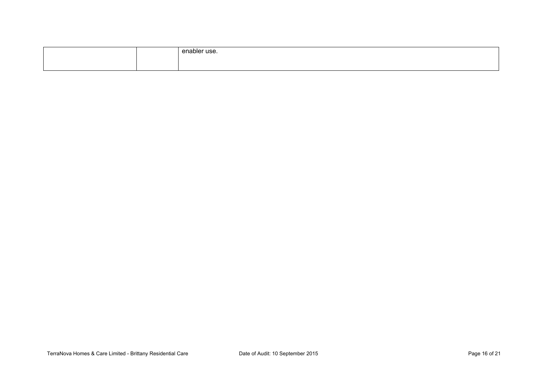|  | enabler use. |
|--|--------------|
|  |              |
|  |              |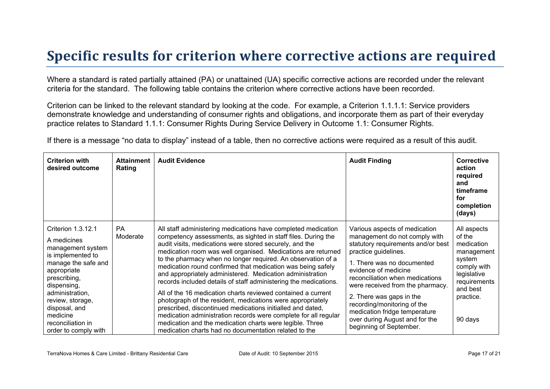## **Specific results for criterion where corrective actions are required**

Where a standard is rated partially attained (PA) or unattained (UA) specific corrective actions are recorded under the relevant criteria for the standard. The following table contains the criterion where corrective actions have been recorded.

Criterion can be linked to the relevant standard by looking at the code. For example, a Criterion 1.1.1.1: Service providers demonstrate knowledge and understanding of consumer rights and obligations, and incorporate them as part of their everyday practice relates to Standard 1.1.1: Consumer Rights During Service Delivery in Outcome 1.1: Consumer Rights.

If there is a message "no data to display" instead of a table, then no corrective actions were required as a result of this audit.

| <b>Criterion with</b><br>desired outcome                                                                                                                                                                                                                          | <b>Attainment</b><br>Rating | <b>Audit Evidence</b>                                                                                                                                                                                                                                                                                                                                                                                                                                                                                                                                                                                                                                                                                                                                                                                                                                                                                         | <b>Audit Finding</b>                                                                                                                                                                                                                                                                                                                                                                                               | <b>Corrective</b><br>action<br>required<br>and<br>timeframe<br>for<br>completion<br>(days)                                                    |
|-------------------------------------------------------------------------------------------------------------------------------------------------------------------------------------------------------------------------------------------------------------------|-----------------------------|---------------------------------------------------------------------------------------------------------------------------------------------------------------------------------------------------------------------------------------------------------------------------------------------------------------------------------------------------------------------------------------------------------------------------------------------------------------------------------------------------------------------------------------------------------------------------------------------------------------------------------------------------------------------------------------------------------------------------------------------------------------------------------------------------------------------------------------------------------------------------------------------------------------|--------------------------------------------------------------------------------------------------------------------------------------------------------------------------------------------------------------------------------------------------------------------------------------------------------------------------------------------------------------------------------------------------------------------|-----------------------------------------------------------------------------------------------------------------------------------------------|
| Criterion 1.3.12.1<br>A medicines<br>management system<br>is implemented to<br>manage the safe and<br>appropriate<br>prescribing,<br>dispensing,<br>administration,<br>review, storage,<br>disposal, and<br>medicine<br>reconciliation in<br>order to comply with | <b>PA</b><br>Moderate       | All staff administering medications have completed medication<br>competency assessments, as sighted in staff files. During the<br>audit visits, medications were stored securely, and the<br>medication room was well organised. Medications are returned<br>to the pharmacy when no longer required. An observation of a<br>medication round confirmed that medication was being safely<br>and appropriately administered. Medication administration<br>records included details of staff administering the medications.<br>All of the 16 medication charts reviewed contained a current<br>photograph of the resident, medications were appropriately<br>prescribed, discontinued medications initialled and dated,<br>medication administration records were complete for all regular<br>medication and the medication charts were legible. Three<br>medication charts had no documentation related to the | Various aspects of medication<br>management do not comply with<br>statutory requirements and/or best<br>practice guidelines.<br>1. There was no documented<br>evidence of medicine<br>reconciliation when medications<br>were received from the pharmacy.<br>2. There was gaps in the<br>recording/monitoring of the<br>medication fridge temperature<br>over during August and for the<br>beginning of September. | All aspects<br>of the<br>medication<br>management<br>system<br>comply with<br>legislative<br>requirements<br>and best<br>practice.<br>90 days |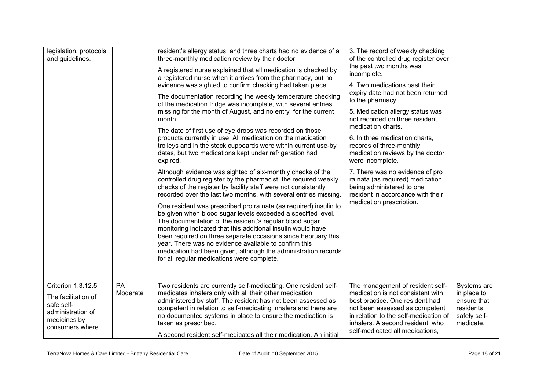| legislation, protocols,<br>and guidelines.                                                                      |                | resident's allergy status, and three charts had no evidence of a<br>three-monthly medication review by their doctor.<br>A registered nurse explained that all medication is checked by<br>a registered nurse when it arrives from the pharmacy, but no<br>evidence was sighted to confirm checking had taken place.<br>The documentation recording the weekly temperature checking<br>of the medication fridge was incomplete, with several entries<br>missing for the month of August, and no entry for the current<br>month.<br>The date of first use of eye drops was recorded on those<br>products currently in use. All medication on the medication<br>trolleys and in the stock cupboards were within current use-by<br>dates, but two medications kept under refrigeration had<br>expired.<br>Although evidence was sighted of six-monthly checks of the<br>controlled drug register by the pharmacist, the required weekly<br>checks of the register by facility staff were not consistently<br>recorded over the last two months, with several entries missing.<br>One resident was prescribed pro ra nata (as required) insulin to<br>be given when blood sugar levels exceeded a specified level.<br>The documentation of the resident's regular blood sugar<br>monitoring indicated that this additional insulin would have<br>been required on three separate occasions since February this<br>year. There was no evidence available to confirm this<br>medication had been given, although the administration records<br>for all regular medications were complete. | 3. The record of weekly checking<br>of the controlled drug register over<br>the past two months was<br>incomplete.<br>4. Two medications past their<br>expiry date had not been returned<br>to the pharmacy.<br>5. Medication allergy status was<br>not recorded on three resident<br>medication charts.<br>6. In three medication charts,<br>records of three-monthly<br>medication reviews by the doctor<br>were incomplete.<br>7. There was no evidence of pro<br>ra nata (as required) medication<br>being administered to one<br>resident in accordance with their<br>medication prescription. |                                                                                     |
|-----------------------------------------------------------------------------------------------------------------|----------------|------------------------------------------------------------------------------------------------------------------------------------------------------------------------------------------------------------------------------------------------------------------------------------------------------------------------------------------------------------------------------------------------------------------------------------------------------------------------------------------------------------------------------------------------------------------------------------------------------------------------------------------------------------------------------------------------------------------------------------------------------------------------------------------------------------------------------------------------------------------------------------------------------------------------------------------------------------------------------------------------------------------------------------------------------------------------------------------------------------------------------------------------------------------------------------------------------------------------------------------------------------------------------------------------------------------------------------------------------------------------------------------------------------------------------------------------------------------------------------------------------------------------------------------------------------------------------------|-----------------------------------------------------------------------------------------------------------------------------------------------------------------------------------------------------------------------------------------------------------------------------------------------------------------------------------------------------------------------------------------------------------------------------------------------------------------------------------------------------------------------------------------------------------------------------------------------------|-------------------------------------------------------------------------------------|
| Criterion 1.3.12.5<br>The facilitation of<br>safe self-<br>administration of<br>medicines by<br>consumers where | PA<br>Moderate | Two residents are currently self-medicating. One resident self-<br>medicates inhalers only with all their other medication<br>administered by staff. The resident has not been assessed as<br>competent in relation to self-medicating inhalers and there are<br>no documented systems in place to ensure the medication is<br>taken as prescribed.<br>A second resident self-medicates all their medication. An initial                                                                                                                                                                                                                                                                                                                                                                                                                                                                                                                                                                                                                                                                                                                                                                                                                                                                                                                                                                                                                                                                                                                                                           | The management of resident self-<br>medication is not consistent with<br>best practice. One resident had<br>not been assessed as competent<br>in relation to the self-medication of<br>inhalers. A second resident, who<br>self-medicated all medications,                                                                                                                                                                                                                                                                                                                                          | Systems are<br>in place to<br>ensure that<br>residents<br>safely self-<br>medicate. |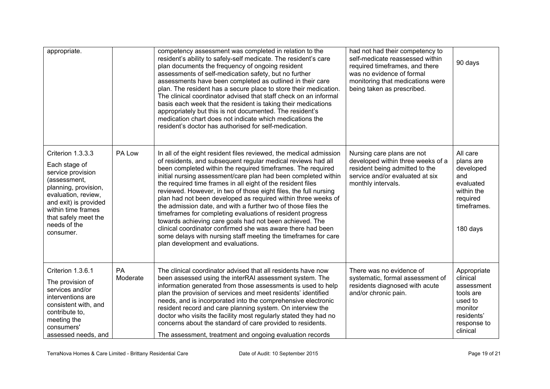| appropriate.                                                                                                                                                                                                               |                | competency assessment was completed in relation to the<br>resident's ability to safely-self medicate. The resident's care<br>plan documents the frequency of ongoing resident<br>assessments of self-medication safety, but no further<br>assessments have been completed as outlined in their care<br>plan. The resident has a secure place to store their medication.<br>The clinical coordinator advised that staff check on an informal<br>basis each week that the resident is taking their medications<br>appropriately but this is not documented. The resident's<br>medication chart does not indicate which medications the<br>resident's doctor has authorised for self-medication.                                                                                                                                           | had not had their competency to<br>self-medicate reassessed within<br>required timeframes, and there<br>was no evidence of formal<br>monitoring that medications were<br>being taken as prescribed. | 90 days                                                                                                           |
|----------------------------------------------------------------------------------------------------------------------------------------------------------------------------------------------------------------------------|----------------|-----------------------------------------------------------------------------------------------------------------------------------------------------------------------------------------------------------------------------------------------------------------------------------------------------------------------------------------------------------------------------------------------------------------------------------------------------------------------------------------------------------------------------------------------------------------------------------------------------------------------------------------------------------------------------------------------------------------------------------------------------------------------------------------------------------------------------------------|-----------------------------------------------------------------------------------------------------------------------------------------------------------------------------------------------------|-------------------------------------------------------------------------------------------------------------------|
| Criterion 1.3.3.3<br>Each stage of<br>service provision<br>(assessment,<br>planning, provision,<br>evaluation, review,<br>and exit) is provided<br>within time frames<br>that safely meet the<br>needs of the<br>consumer. | PA Low         | In all of the eight resident files reviewed, the medical admission<br>of residents, and subsequent regular medical reviews had all<br>been completed within the required timeframes. The required<br>initial nursing assessment/care plan had been completed within<br>the required time frames in all eight of the resident files<br>reviewed. However, in two of those eight files, the full nursing<br>plan had not been developed as required within three weeks of<br>the admission date, and with a further two of those files the<br>timeframes for completing evaluations of resident progress<br>towards achieving care goals had not been achieved. The<br>clinical coordinator confirmed she was aware there had been<br>some delays with nursing staff meeting the timeframes for care<br>plan development and evaluations. | Nursing care plans are not<br>developed within three weeks of a<br>resident being admitted to the<br>service and/or evaluated at six<br>monthly intervals.                                          | All care<br>plans are<br>developed<br>and<br>evaluated<br>within the<br>required<br>timeframes.<br>180 days       |
| Criterion 1.3.6.1<br>The provision of<br>services and/or<br>interventions are<br>consistent with, and<br>contribute to,<br>meeting the<br>consumers'<br>assessed needs, and                                                | PA<br>Moderate | The clinical coordinator advised that all residents have now<br>been assessed using the interRAI assessment system. The<br>information generated from those assessments is used to help<br>plan the provision of services and meet residents' identified<br>needs, and is incorporated into the comprehensive electronic<br>resident record and care planning system. On interview the<br>doctor who visits the facility most regularly stated they had no<br>concerns about the standard of care provided to residents.<br>The assessment, treatment and ongoing evaluation records                                                                                                                                                                                                                                                    | There was no evidence of<br>systematic, formal assessment of<br>residents diagnosed with acute<br>and/or chronic pain.                                                                              | Appropriate<br>clinical<br>assessment<br>tools are<br>used to<br>monitor<br>residents'<br>response to<br>clinical |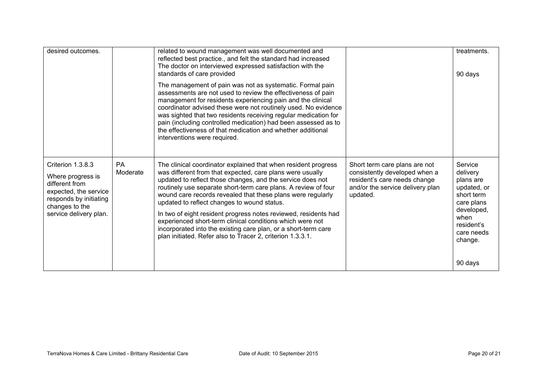| desired outcomes.                                                                                                                                       |                       | related to wound management was well documented and<br>reflected best practice., and felt the standard had increased<br>The doctor on interviewed expressed satisfaction with the<br>standards of care provided                                                                                                                                                                                                                                                                                                                                                                                                                           |                                                                                                                                                | treatments.<br>90 days                                                                                                                   |
|---------------------------------------------------------------------------------------------------------------------------------------------------------|-----------------------|-------------------------------------------------------------------------------------------------------------------------------------------------------------------------------------------------------------------------------------------------------------------------------------------------------------------------------------------------------------------------------------------------------------------------------------------------------------------------------------------------------------------------------------------------------------------------------------------------------------------------------------------|------------------------------------------------------------------------------------------------------------------------------------------------|------------------------------------------------------------------------------------------------------------------------------------------|
|                                                                                                                                                         |                       | The management of pain was not as systematic. Formal pain<br>assessments are not used to review the effectiveness of pain<br>management for residents experiencing pain and the clinical<br>coordinator advised these were not routinely used. No evidence<br>was sighted that two residents receiving regular medication for<br>pain (including controlled medication) had been assessed as to<br>the effectiveness of that medication and whether additional<br>interventions were required.                                                                                                                                            |                                                                                                                                                |                                                                                                                                          |
| Criterion 1.3.8.3<br>Where progress is<br>different from<br>expected, the service<br>responds by initiating<br>changes to the<br>service delivery plan. | <b>PA</b><br>Moderate | The clinical coordinator explained that when resident progress<br>was different from that expected, care plans were usually<br>updated to reflect those changes, and the service does not<br>routinely use separate short-term care plans. A review of four<br>wound care records revealed that these plans were regularly<br>updated to reflect changes to wound status.<br>In two of eight resident progress notes reviewed, residents had<br>experienced short-term clinical conditions which were not<br>incorporated into the existing care plan, or a short-term care<br>plan initiated. Refer also to Tracer 2, criterion 1.3.3.1. | Short term care plans are not<br>consistently developed when a<br>resident's care needs change<br>and/or the service delivery plan<br>updated. | Service<br>delivery<br>plans are<br>updated, or<br>short term<br>care plans<br>developed,<br>when<br>resident's<br>care needs<br>change. |
|                                                                                                                                                         |                       |                                                                                                                                                                                                                                                                                                                                                                                                                                                                                                                                                                                                                                           |                                                                                                                                                | 90 days                                                                                                                                  |